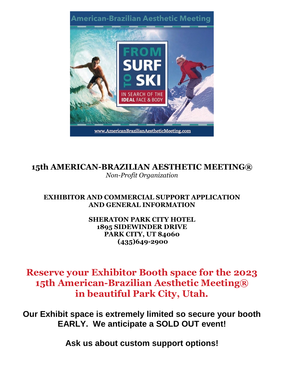

**15th AMERICAN-BRAZILIAN AESTHETIC MEETING®** *Non-Profit Organization*

## **EXHIBITOR AND COMMERCIAL SUPPORT APPLICATION AND GENERAL INFORMATION**

**SHERATON PARK CITY HOTEL 1895 SIDEWINDER DRIVE PARK CITY, UT 84060 (435)649-2900**

# **Reserve your Exhibitor Booth space for the 2023 15th American-Brazilian Aesthetic Meeting® in beautiful Park City, Utah.**

**Our Exhibit space is extremely limited so secure your booth EARLY. We anticipate a SOLD OUT event!**

**Ask us about custom support options!**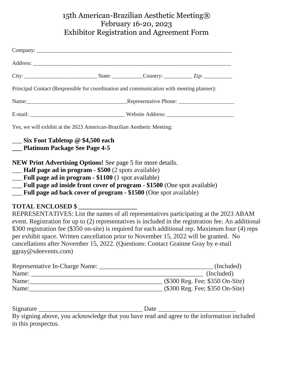## 15th American-Brazilian Aesthetic Meeting® February 16-20, 2023 Exhibitor Registration and Agreement Form

| Principal Contact (Responsible for coordination and communication with meeting planner):                                                                                                                                                                                                                                                      |  |                                                                                                                                                                                                                                                                                                                                                                                              |
|-----------------------------------------------------------------------------------------------------------------------------------------------------------------------------------------------------------------------------------------------------------------------------------------------------------------------------------------------|--|----------------------------------------------------------------------------------------------------------------------------------------------------------------------------------------------------------------------------------------------------------------------------------------------------------------------------------------------------------------------------------------------|
|                                                                                                                                                                                                                                                                                                                                               |  |                                                                                                                                                                                                                                                                                                                                                                                              |
|                                                                                                                                                                                                                                                                                                                                               |  |                                                                                                                                                                                                                                                                                                                                                                                              |
| Yes, we will exhibit at the 2023 American-Brazilian Aesthetic Meeting:                                                                                                                                                                                                                                                                        |  |                                                                                                                                                                                                                                                                                                                                                                                              |
| __ Six Foot Tabletop @ \$4,500 each<br>__ Platinum Package See Page 4-5                                                                                                                                                                                                                                                                       |  |                                                                                                                                                                                                                                                                                                                                                                                              |
| NEW Print Advertising Options! See page 5 for more details.<br><b>Half page ad in program - \$500</b> (2 spots available)<br><b>Eull page ad in program - \$1100</b> (1 spot available)<br>__ Full page ad inside front cover of program - \$1500 (One spot available)<br>__ Full page ad back cover of program - \$1500 (One spot available) |  |                                                                                                                                                                                                                                                                                                                                                                                              |
| TOTAL ENCLOSED \$<br>cancellations after November 15, 2022. (Questions: Contact Grainne Gray by e-mail<br>ggray@sdeevents.com)                                                                                                                                                                                                                |  | REPRESENTATIVES: List the names of all representatives participating at the 2023 ABAM<br>event. Registration for up to (2) representatives is included in the registration fee. An additional<br>\$300 registration fee (\$350 on-site) is required for each additional rep. Maximum four (4) reps<br>per exhibit space. Written cancellation prior to November 15, 2022 will be granted. No |
|                                                                                                                                                                                                                                                                                                                                               |  |                                                                                                                                                                                                                                                                                                                                                                                              |
|                                                                                                                                                                                                                                                                                                                                               |  | (Included)                                                                                                                                                                                                                                                                                                                                                                                   |
|                                                                                                                                                                                                                                                                                                                                               |  |                                                                                                                                                                                                                                                                                                                                                                                              |
|                                                                                                                                                                                                                                                                                                                                               |  |                                                                                                                                                                                                                                                                                                                                                                                              |
|                                                                                                                                                                                                                                                                                                                                               |  |                                                                                                                                                                                                                                                                                                                                                                                              |

By signing above, you acknowledge that you have read and agree to the information included in this prospectus.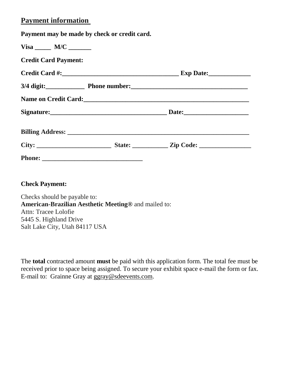## **Payment information**

**Payment may be made by check or credit card.**

| $Visa$ $M/C$ $\_\_\_\_\_\_\_\_\_\_\_\_\_\_$ |  |  |  |
|---------------------------------------------|--|--|--|
| <b>Credit Card Payment:</b>                 |  |  |  |
|                                             |  |  |  |
|                                             |  |  |  |
|                                             |  |  |  |
|                                             |  |  |  |
|                                             |  |  |  |
|                                             |  |  |  |
|                                             |  |  |  |

**Check Payment:**

Checks should be payable to: **American-Brazilian Aesthetic Meeting®** and mailed to: Attn: Tracee Lolofie 5445 S. Highland Drive Salt Lake City, Utah 84117 USA

The **total** contracted amount **must** be paid with this application form. The total fee must be received prior to space being assigned. To secure your exhibit space e-mail the form or fax. E-mail to: Grainne Gray at [ggray@sdeevents.com.](mailto:ggray@sdeevents.com)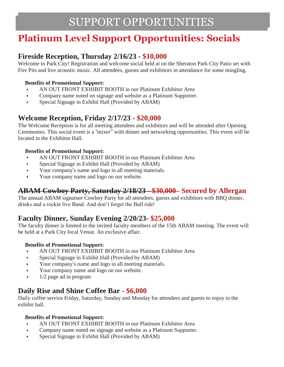# **Platinum Level Support Opportunities: Socials**

## **Fireside Reception, Thursday 2/16/23 - \$10,000**

Welcome to Park City! Registration and welcome social held at on the Sheraton Park City Patio set with Fire Pits and live acoustic music. All attendees, guests and exhibitors in attendance for some mingling.

### **Benefits of Promotional Support:**

- AN OUT FRONT EXHIBIT BOOTH in our Platinum Exhibitor Area
- Company name noted on signage and website as a Platinum Supporter.
- Special Signage in Exhibit Hall (Provided by ABAM)

## **Welcome Reception, Friday 2/17/23 - \$20,000**

The Welcome Reception is for all meeting attendees and exhibitors and will be attended after Opening Ceremonies. This social event is a "mixer" with dinner and networking opportunities. This event will be located in the Exhibitor Hall.

### **Benefits of Promotional Support:**

- AN OUT FRONT EXHIBIT BOOTH in our Platinum Exhibitor Area
- Special Signage in Exhibit Hall (Provided by ABAM)
- Your company's name and logo in all meeting materials.
- Your company name and logo on our website.

## **ABAM Cowboy Party, Saturday 2/18/23 - \$30,000 Secured by Allergan**

The annual ABAM signature Cowboy Party for all attendees, guests and exhibitors with BBQ dinner, drinks and a rockin live Band. And don't forget the Bull ride!

## **Faculty Dinner, Sunday Evening 2/20/23- \$25,000**

The faculty dinner is limited to the invited faculty members of the 15th ABAM meeting. The event will be held at a Park City local Venue. An exclusive affair.

### **Benefits of Promotional Support:**

- AN OUT FRONT EXHIBIT BOOTH in our Platinum Exhibitor Area
- Special Signage in Exhibit Hall (Provided by ABAM)
- Your company's name and logo in all meeting materials.
- Your company name and logo on our website.
- 1/2 page ad in program

## **Daily Rise and Shine Coffee Bar - \$6,000**

Daily coffee service Friday, Saturday, Sunday and Monday for attendees and guests to enjoy in the exhibit hall.

### **Benefits of Promotional Support:**

- AN OUT FRONT EXHIBIT BOOTH in our Platinum Exhibitor Area
- Company name noted on signage and website as a Platinum Supporter.
- Special Signage in Exhibit Hall (Provided by ABAM)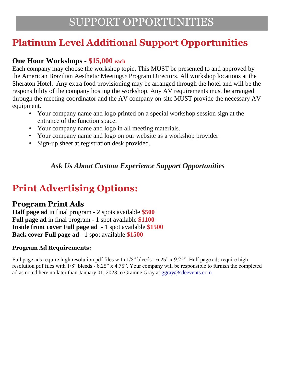# **Platinum Level Additional Support Opportunities**

## **One Hour Workshops - \$15,000 each**

Each company may choose the workshop topic. This MUST be presented to and approved by the American Brazilian Aesthetic Meeting® Program Directors. All workshop locations at the Sheraton Hotel. Any extra food provisioning may be arranged through the hotel and will be the responsibility of the company hosting the workshop. Any AV requirements must be arranged through the meeting coordinator and the AV company on-site MUST provide the necessary AV equipment.

- Your company name and logo printed on a special workshop session sign at the entrance of the function space.
- Your company name and logo in all meeting materials.
- Your company name and logo on our website as a workshop provider.
- Sign-up sheet at registration desk provided.

# *Ask Us About Custom Experience Support Opportunities*

# **Print Advertising Options:**

## **Program Print Ads**

**Half page ad** in final program - 2 spots available **\$500 Full page ad** in final program - 1 spot available **\$1100 Inside front cover Full page ad** - 1 spot available **\$1500 Back cover Full page ad** - 1 spot available **\$1500**

## **Program Ad Requirements:**

Full page ads require high resolution pdf files with 1/8" bleeds - 6.25" x 9.25". Half page ads require high resolution pdf files with 1/8" bleeds - 6.25" x 4.75". Your company will be responsible to furnish the completed ad as noted here no later than January 01, 2023 to Grainne Gray at ggray@sdeevents.com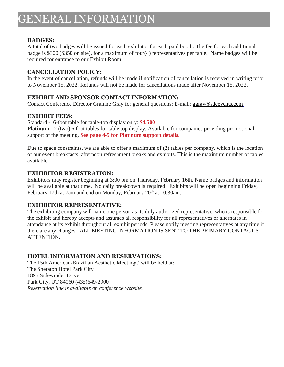### **BADGES:**

A total of two badges will be issued for each exhibitor for each paid booth: The fee for each additional badge is \$300 (\$350 on site), for a maximum of four(4) representatives per table. Name badges will be required for entrance to our Exhibit Room.

#### **CANCELLATION POLICY:**

In the event of cancellation, refunds will be made if notification of cancellation is received in writing prior to November 15, 2022. Refunds will not be made for cancellations made after November 15, 2022.

### **EXHIBIT AND SPONSOR CONTACT INFORMATION:**

Contact Conference Director Grainne Gray for general questions: E-mail: [ggray@sdeevents.com](mailto:ggray@sdeevents.com)

### **EXHIBIT FEES:**

Standard **-** 6-foot table for table-top display only: **\$4,500 Platinum** - 2 (two) 6 foot tables for table top display. Available for companies providing promotional support of the meeting. **See page 4-5 for Platinum support details.**

Due to space constraints, we are able to offer a maximum of (2) tables per company, which is the location of our event breakfasts, afternoon refreshment breaks and exhibits. This is the maximum number of tables available.

### **EXHIBITOR REGISTRATION:**

Exhibitors may register beginning at 3:00 pm on Thursday, February 16th. Name badges and information will be available at that time. No daily breakdown is required. Exhibits will be open beginning Friday, February 17th at 7am and end on Monday, February 20<sup>th</sup> at 10:30am.

### **EXHIBITOR REPRESENTATIVE:**

The exhibiting company will name one person as its duly authorized representative, who is responsible for the exhibit and hereby accepts and assumes all responsibility for all representatives or alternates in attendance at its exhibit throughout all exhibit periods. Please notify meeting representatives at any time if there are any changes. ALL MEETING INFORMATION IS SENT TO THE PRIMARY CONTACT'S ATTENTION.

### **HOTEL INFORMATION AND RESERVATIONS:**

The 15th American-Brazilian Aesthetic Meeting® will be held at: The Sheraton Hotel Park City 1895 Sidewinder Drive Park City, UT 84060 (435)649-2900 *Reservation link is available on conference website.*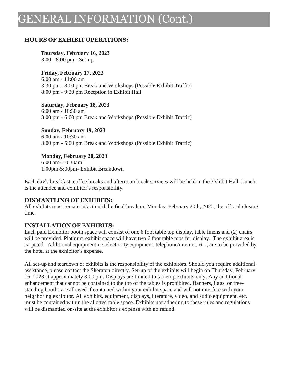# GENERAL INFORMATION (Cont.)

#### **HOURS OF EXHIBIT OPERATIONS:**

#### **Thursday, February 16, 2023**

3:00 - 8:00 pm - Set-up

#### **Friday, February 17, 2023**

6:00 am - 11:00 am 3:30 pm - 8:00 pm Break and Workshops (Possible Exhibit Traffic) 8:00 pm - 9:30 pm Reception in Exhibit Hall

**Saturday, February 18, 2023** 6:00 am - 10:30 am 3:00 pm - 6:00 pm Break and Workshops (Possible Exhibit Traffic)

**Sunday, February 19, 2023** 6:00 am - 10:30 am 3:00 pm - 5:00 pm Break and Workshops (Possible Exhibit Traffic)

#### **Monday, February 20, 2023**

6:00 am- 10:30am 1:00pm-5:00pm- Exhibit Breakdown

Each day's breakfast, coffee breaks and afternoon break services will be held in the Exhibit Hall. Lunch is the attendee and exhibitor's responsibility.

#### **DISMANTLING OF EXHIBITS:**

All exhibits must remain intact until the final break on Monday, February 20th, 2023, the official closing time.

### **INSTALLATION OF EXHIBITS:**

Each paid Exhibitor booth space will consist of one 6 foot table top display, table linens and (2) chairs will be provided. Platinum exhibit space will have two 6 foot table tops for display. The exhibit area is carpeted. Additional equipment i.e. electricity equipment, telephone/internet, etc., are to be provided by the hotel at the exhibitor's expense.

All set-up and teardown of exhibits is the responsibility of the exhibitors. Should you require additional assistance, please contact the Sheraton directly. Set-up of the exhibits will begin on Thursday, February 16, 2023 at approximately 3:00 pm. Displays are limited to tabletop exhibits only. Any additional enhancement that cannot be contained to the top of the tables is prohibited. Banners, flags, or freestanding booths are allowed if contained within your exhibit space and will not interfere with your neighboring exhibitor. All exhibits, equipment, displays, literature, video, and audio equipment, etc. must be contained within the allotted table space. Exhibits not adhering to these rules and regulations will be dismantled on-site at the exhibitor's expense with no refund.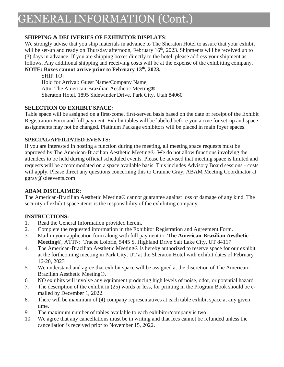### **SHIPPING & DELIVERIES OF EXHIBITOR DISPLAYS**:

We strongly advise that you ship materials in advance to The Sheraton Hotel to assure that your exhibit will be set-up and ready on Thursday afternoon, February 16<sup>th</sup>, 2023. Shipments will be received up to (3) days in advance. If you are shipping boxes directly to the hotel, please address your shipment as follows. Any additional shipping and receiving costs will be at the expense of the exhibiting company.

### **NOTE: Boxes cannot arrive prior to February 13 th, 2023.**

SHIP TO: Hold for Arrival: Guest Name/Company Name, Attn: The American-Brazilian Aesthetic Meeting® Sheraton Hotel, 1895 Sidewinder Drive, Park City, Utah 84060

### **SELECTION OF EXHIBIT SPACE:**

Table space will be assigned on a first-come, first-served basis based on the date of receipt of the Exhibit Registration Form and full payment. Exhibit tables will be labeled before you arrive for set-up and space assignments may not be changed. Platinum Package exhibitors will be placed in main foyer spaces.

#### **SPECIAL/AFFILIATED EVENTS:**

If you are interested in hosting a function during the meeting, all meeting space requests must be approved by The American-Brazilian Aesthetic Meeting®. We do not allow functions involving the attendees to be held during official scheduled events. Please be advised that meeting space is limited and requests will be accommodated on a space available basis. This includes Advisory Board sessions - costs will apply. Please direct any questions concerning this to Grainne Gray, ABAM Meeting Coordinator at ggray@sdeevents.com

### **ABAM DISCLAIMER:**

The American-Brazilian Aesthetic Meeting® cannot guarantee against loss or damage of any kind. The security of exhibit space items is the responsibility of the exhibiting company.

### **INSTRUCTIONS:**

- 1. Read the General Information provided herein.
- 2. Complete the requested information in the Exhibitor Registration and Agreement Form.
- 3. Mail in your application form along with full payment to: **The American-Brazilian Aesthetic Meeting®**, ATTN: Tracee Lolofie, 5445 S. Highland Drive Salt Lake City, UT 84117
- 4. The American-Brazilian Aesthetic Meeting® is hereby authorized to reserve space for our exhibit at the forthcoming meeting in Park City, UT at the Sheraton Hotel with exhibit dates of February 16-20, 2023
- 5. We understand and agree that exhibit space will be assigned at the discretion of The American-Brazilian Aesthetic Meeting®.
- 6. NO exhibits will involve any equipment producing high levels of noise, odor, or potential hazard.
- 7. The description of the exhibit in (25) words or less, for printing in the Program Book should be emailed by December 1, 2022.
- 8. There will be maximum of (4) company representatives at each table exhibit space at any given time.
- 9. The maximum number of tables available to each exhibitor/company is two.
- 10. We agree that any cancellations must be in writing and that fees cannot be refunded unless the cancellation is received prior to November 15, 2022.